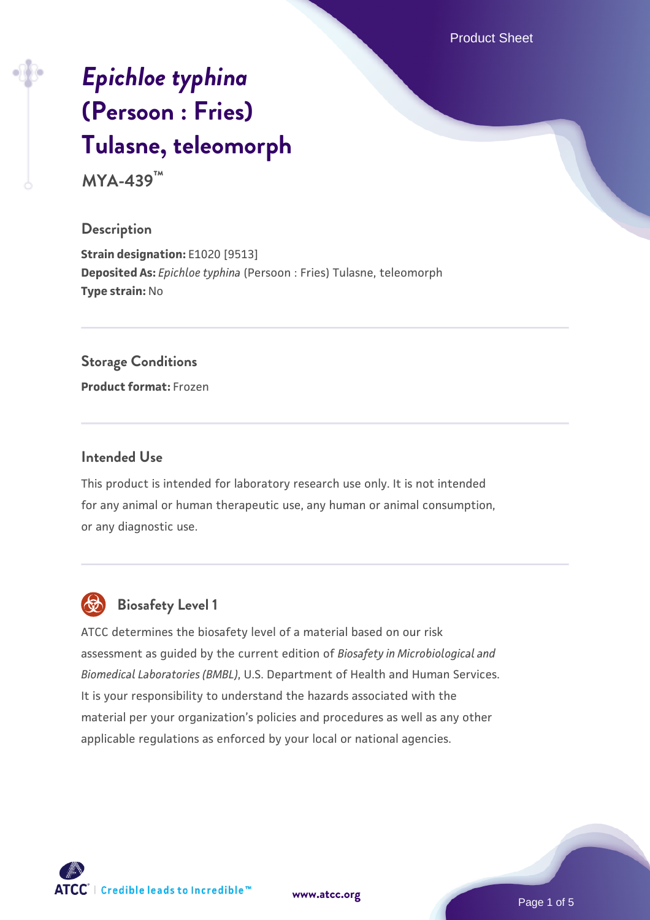Product Sheet

# *[Epichloe typhina](https://www.atcc.org/products/mya-439)* **[\(Persoon : Fries\)](https://www.atcc.org/products/mya-439) [Tulasne, teleomorph](https://www.atcc.org/products/mya-439)**

**MYA-439™**

## **Description**

**Strain designation:** E1020 [9513] **Deposited As:** *Epichloe typhina* (Persoon : Fries) Tulasne, teleomorph **Type strain:** No

## **Storage Conditions**

**Product format:** Frozen

#### **Intended Use**

This product is intended for laboratory research use only. It is not intended for any animal or human therapeutic use, any human or animal consumption, or any diagnostic use.



# **Biosafety Level 1**

ATCC determines the biosafety level of a material based on our risk assessment as guided by the current edition of *Biosafety in Microbiological and Biomedical Laboratories (BMBL)*, U.S. Department of Health and Human Services. It is your responsibility to understand the hazards associated with the material per your organization's policies and procedures as well as any other applicable regulations as enforced by your local or national agencies.

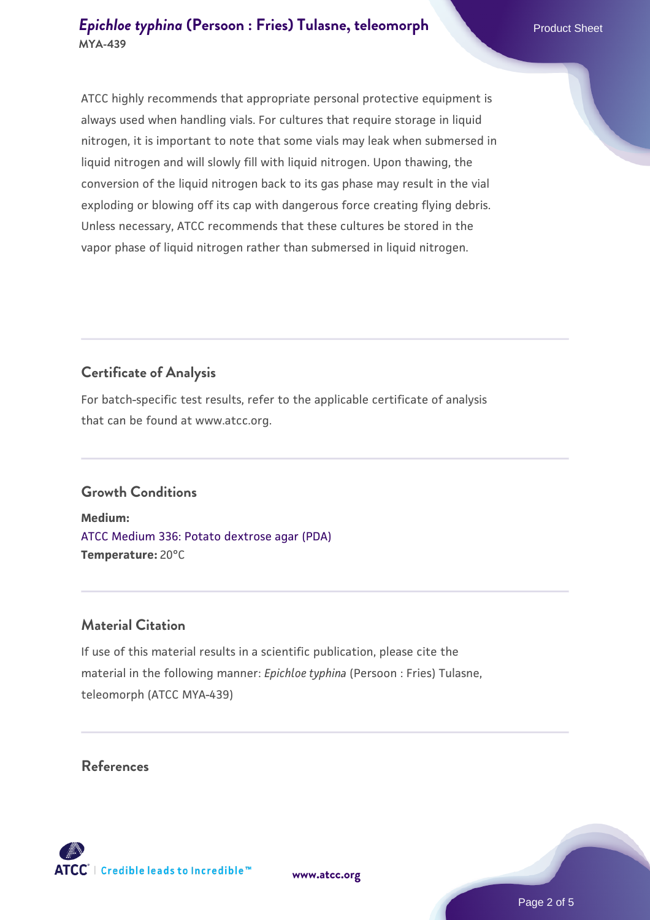ATCC highly recommends that appropriate personal protective equipment is always used when handling vials. For cultures that require storage in liquid nitrogen, it is important to note that some vials may leak when submersed in liquid nitrogen and will slowly fill with liquid nitrogen. Upon thawing, the conversion of the liquid nitrogen back to its gas phase may result in the vial exploding or blowing off its cap with dangerous force creating flying debris. Unless necessary, ATCC recommends that these cultures be stored in the vapor phase of liquid nitrogen rather than submersed in liquid nitrogen.

# **Certificate of Analysis**

For batch-specific test results, refer to the applicable certificate of analysis that can be found at www.atcc.org.

# **Growth Conditions**

**Medium:**  [ATCC Medium 336: Potato dextrose agar \(PDA\)](https://www.atcc.org/-/media/product-assets/documents/microbial-media-formulations/3/3/6/atcc-medium-336.pdf?rev=d9160ad44d934cd8b65175461abbf3b9) **Temperature:** 20°C

#### **Material Citation**

If use of this material results in a scientific publication, please cite the material in the following manner: *Epichloe typhina* (Persoon : Fries) Tulasne, teleomorph (ATCC MYA-439)

## **References**

**[www.atcc.org](http://www.atcc.org)**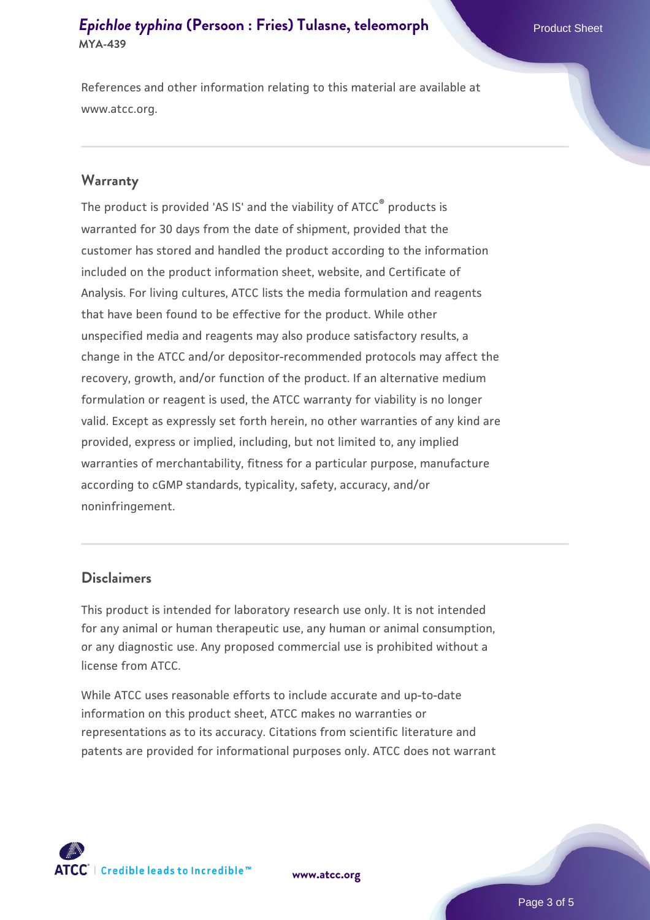## *[Epichloe typhina](https://www.atcc.org/products/mya-439)* [\(Persoon : Fries\) Tulasne, teleomorph](https://www.atcc.org/products/mya-439) Product Sheet **MYA-439**

References and other information relating to this material are available at www.atcc.org.

#### **Warranty**

The product is provided 'AS IS' and the viability of ATCC® products is warranted for 30 days from the date of shipment, provided that the customer has stored and handled the product according to the information included on the product information sheet, website, and Certificate of Analysis. For living cultures, ATCC lists the media formulation and reagents that have been found to be effective for the product. While other unspecified media and reagents may also produce satisfactory results, a change in the ATCC and/or depositor-recommended protocols may affect the recovery, growth, and/or function of the product. If an alternative medium formulation or reagent is used, the ATCC warranty for viability is no longer valid. Except as expressly set forth herein, no other warranties of any kind are provided, express or implied, including, but not limited to, any implied warranties of merchantability, fitness for a particular purpose, manufacture according to cGMP standards, typicality, safety, accuracy, and/or noninfringement.

#### **Disclaimers**

This product is intended for laboratory research use only. It is not intended for any animal or human therapeutic use, any human or animal consumption, or any diagnostic use. Any proposed commercial use is prohibited without a license from ATCC.

While ATCC uses reasonable efforts to include accurate and up-to-date information on this product sheet, ATCC makes no warranties or representations as to its accuracy. Citations from scientific literature and patents are provided for informational purposes only. ATCC does not warrant

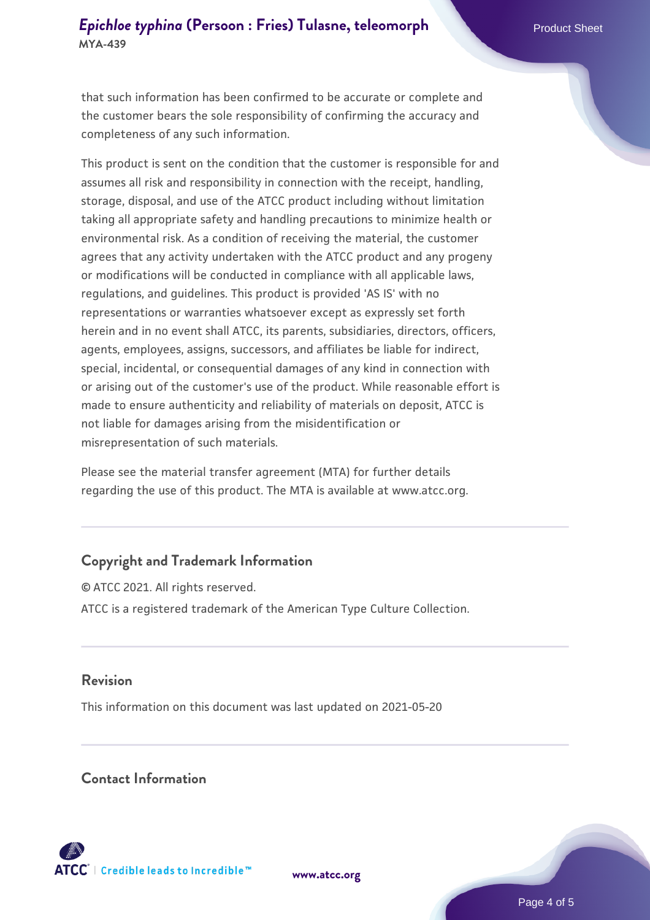# *[Epichloe typhina](https://www.atcc.org/products/mya-439)* [\(Persoon : Fries\) Tulasne, teleomorph](https://www.atcc.org/products/mya-439) Product Sheet **MYA-439**

that such information has been confirmed to be accurate or complete and the customer bears the sole responsibility of confirming the accuracy and completeness of any such information.

This product is sent on the condition that the customer is responsible for and assumes all risk and responsibility in connection with the receipt, handling, storage, disposal, and use of the ATCC product including without limitation taking all appropriate safety and handling precautions to minimize health or environmental risk. As a condition of receiving the material, the customer agrees that any activity undertaken with the ATCC product and any progeny or modifications will be conducted in compliance with all applicable laws, regulations, and guidelines. This product is provided 'AS IS' with no representations or warranties whatsoever except as expressly set forth herein and in no event shall ATCC, its parents, subsidiaries, directors, officers, agents, employees, assigns, successors, and affiliates be liable for indirect, special, incidental, or consequential damages of any kind in connection with or arising out of the customer's use of the product. While reasonable effort is made to ensure authenticity and reliability of materials on deposit, ATCC is not liable for damages arising from the misidentification or misrepresentation of such materials.

Please see the material transfer agreement (MTA) for further details regarding the use of this product. The MTA is available at www.atcc.org.

#### **Copyright and Trademark Information**

© ATCC 2021. All rights reserved. ATCC is a registered trademark of the American Type Culture Collection.

### **Revision**

This information on this document was last updated on 2021-05-20

## **Contact Information**



**[www.atcc.org](http://www.atcc.org)**